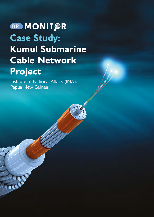# **BRIMONIT@R Case Study: Kumul Submarine** Cable Network **Project**

Institute of National Affairs (INA), Papua New Guinea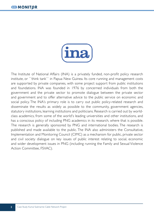

The Institute of National Affairs (INA) is a privately funded, non-profit policy research institute, or ``think tank`` in Papua New Guinea. Its core running and management costs are supported by private companies, with some project support from public institutions and foundations. INA was founded in 1976 by concerned individuals from both the government and the private sector to promote dialogue between the private sector and government and to offer alternative advice to the public service on economic and social policy. The INA's primary role is to carry out public policy-related research and disseminate the results as widely as possible to the community, government agencies, statutory institutions, learning institutions and politicians. Research is carried out by worldclass academics, from some of the world's leading universities and other institutions, and has a conscious policy of including PNG academics in its research, where that is possible. The research is generally sponsored by PNG and international bodies. The research is published and made available to the public. The INA also administers the Consultative, Implementation and Monitoring Council (CIMC) as a mechanism for public, private sector and civil society dialogue on key issues of public interest relating to social, economic and wider development issues in PNG (including running the Family and Sexual Violence Action Committee, FSVAC).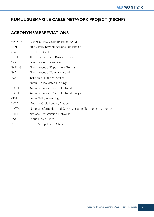# **KUMUL SUBMARINE CABLE NETWORK PROJECT (KSCNP)**

# **ACRONYMS/ABBREVIATIONS**

| APNG-2          | Australia PNG Cable (installed 2006)                         |
|-----------------|--------------------------------------------------------------|
| <b>BBNI</b>     | Biodiversity Beyond National Jurisdiction                    |
| CS <sub>2</sub> | Coral Sea Cable                                              |
| <b>EXIM</b>     | The Export-Import Bank of China                              |
| GoA             | Government of Australia                                      |
| GoPNG           | Government of Papua New Guinea                               |
| GoSI            | Government of Solomon Islands                                |
| <b>INA</b>      | Institute of National Affairs                                |
| KCH             | Kumul Consolidated Holdings                                  |
| <b>KSCN</b>     | Kumul Submarine Cable Network                                |
| <b>KSCNP</b>    | Kumul Submarine Cable Network Project                        |
| <b>KTH</b>      | Kumul Telikom Holdings                                       |
| <b>MCLS</b>     | Modular Cable Landing Station                                |
| <b>NICTA</b>    | National Information and Communications Technology Authority |
| <b>NTN</b>      | <b>National Transmission Network</b>                         |
| <b>PNG</b>      | Papua New Guinea                                             |
|                 |                                                              |

PRC People's Republic of China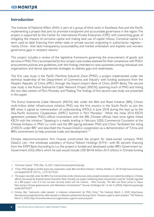# **Introduction**

The Institute of National Affairs (INA) is part of a group of think tanks in Southeast Asia and the Pacific implementing a project that aims to promote transparent and accountable governance in the region. The project is supported by the Center for International Private Enterprise (CIPE) with overarching goals of mitigating the impacts of corrosive capital and making best use of capital inflows. Corrosive capital is a term used to label financing from either state or private sources originating in authoritarian regimes mainly China—that lacks transparency, accountability, and market orientation and exploits and worsens governance gaps in recipient nations.<sup>1</sup>

This project includes a review of the legislative framework governing the procurement of goods and services in PNG. This is accompanied by four project case studies assessed for their compliance with PNG's procurement policies and guidelines, with the findings intended to raise awareness among individuals and organizations and devise appropriate strategies to address gaps and weaknesses.

The first case study is the Pacific Maritime Industrial Zone (PMIZ), a project implemented under the technical leadership of the Department of Commerce and Industry with funding assistance from the People's Republic of China (PRC) through the Export-Import Bank of China (EXIM Bank). The second case study is the Kumul Submarine Cable Network Project (KSCN), spanning much of PNG and linking the two data centers of Port Moresby and Madang. The findings of this second case study are presented in this paper.

The Kumul Submarine Cable Network (KSCN) falls under the Belt and Road Initiative (BRI), China's multi-trillion dollar infrastructure initiative. PNG was the first country in the South Pacific to join the BRI when it signed an memorandum of understanding (MOU) in June 2018 during the lead up to the Asia-Pacific Economic Cooperation (APEC) Summit in Port Moresby.<sup>2</sup> While the initial 2016 KSCN agreement predates PNG's official involvement with the BRI, Chinese officials have since tightly linked KSCN with the initiative.<sup>3</sup> Speaking in a media briefing in February 2020, Commercial Counselor at the Chinese Embassy in PNG Liu Linlin said the BRI signing between PNG and China "facilitated the listing of KSCN under BRI" and described the Huawei-DataCo cooperation as a demonstration of "China and BRI's commitment to help promote trade and development." <sup>4</sup>

Chinese telecommunications firm Huawei constructed the project for state-owned company PNG DataCo Ltd.—the wholesale subsidiary of Kumul Telikom Holdings (KTH)—with 85 percent financing from the EXIM Bank. According to Liu, the project is funded and developed under BRI's Government-to-Government (GG) effort, which he said would include USD \$4.46 billion (K15 billion) in Chinese funding

*<sup>1.</sup> "Corrosive Capital," CIPE, May 16, 2021, https://corrosivecapital.cipe.org/* 

*<sup>2.</sup> "China, PNG pledge to further boost ties, cooperation under Belt and Road Initiative," Xinhua, October 31, 2018, http://www.xinhuanet. com/english/2018-10/31/c\_137572273.htm* 

*<sup>3.</sup> The project also falls under the BRI's Five Connectivities: trade, infrastructure, policy, people-to-people, and capital. According to a Chinese official interviewed by Australia-based researcher Peter Connelly, any project addressing these connectivities could be "broadly regarded as a BRI project" even if it had not been formally linked with the initiative. Peter Connolly, "The Belt and Road comes to Papua New Guinea: Chinese geoeconomics with Melanesian characteristics?" Security Challenges, Vol. 16, No. 4, (2020), https://www.jstor.org/ stable/26976257 .*

*<sup>4.</sup> Clarissa Moi, "Submarine cable network 'a milestone achievement' for PNG, China," The National, March 2, 2020, https://www. thenational.com.pg/submarine-cable-network-a-milestone-achievement-for-png-china/; "Investors urged to seize prospect," The National, March 2, 2020, https://www.thenational.com.pg/investors-urged-to-seize-prospect/*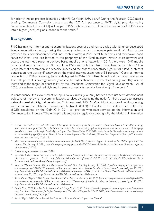for priority impact projects identified under PNG's Vision 2050 plan.5,6 During the February 2020 media briefing, Commercial Counselor Liu stressed the KSCN's importance to PNG's digital priorities, noting "when completed, [the KSCN] will propel PNG's digital economy…. This is the beginning of PNG's foray into a higher [level] of global economics and trade."<sup>7</sup>

# **Background**

PNG has minimal internet and telecommunications coverage and has struggled with an underdeveloped telecommunications sector, making the country reliant on an inadequate patchwork of infrastructure provided by a combination of fixed lines, mobile wireless, VSAT satellite systems, and microwave band services.<sup>8</sup> Most users are located at the periphery of the fixed telecom infrastructure network and access the internet through microwave-based mobile phone networks; in 2017, there were 10.87 mobile broadband subscriptions per 100 people in PNG and only 0.21 fixed broadband subscriptions.<sup>9</sup> This keeps internet penetration and capacity limited and the cost of connectivity high. In 2017, PNG's internet penetration rate was significantly below the global internet usage rate of 51 percent.<sup>10</sup> Costs of internet connection in PNG are among the world's highest. In 2016, 2G of fixed broadband per month cost more than 100 percent of average monthly income, far higher than the 5 percent of average monthly income identified as the target for affordability by the Broadband Commission for Digital Development.<sup>11</sup> As of 2020, prices have remained high and internet connectivity remains low at only 12 percent.<sup>12</sup>

In consequence, the Government of Papua New Guinea (GoPNG) has set a medium-term development objective of improving telecommunications services by upgrading the nation's infrastructure to increase network speed, stability, and penetration.<sup>13</sup> State-owned PNG DataCo Ltd. is in charge of building, owning, and operating the National Transmission Network (NTN).<sup>14</sup> DataCo is the state-owned enterprise (SOE) established by the GoPNG in 2014 to "provide wholesale services to the Information and Communication Industry." The enterprise is subject to regulatory oversight by the National Information

<sup>&</sup>lt;sup>5</sup> In 2011, the GoPNG committed to direct all foreign aid to priority impact projects under Papua New Guinea Vision 2050, its long*term development plan. The plan calls for impact projects in areas including agriculture, fisheries, and tourism in each of its eightynine districts. National Strategic Plan Taskforce, Papua New Guinea Vision 2050, 2011, https://sustainabledevelopment.un.org/content/ documents/1496png.pdf; Denghua Zhang, A Cautious New Approach: China's Growing Trilateral Aid Cooperation (Acton, ACT: Australian National University Press, 2020), 171*

*<sup>6</sup> Moi, "Submarine cable network 'a milestone achievement' for PNG, China"; Bernard Yegiora, "Huawei behind PNG's digital rise," The Yegiora Files, January 5, 2021, https://theyegiorafiles.blogspot.com/2020/07/rise-and-fall-realism-and-china.html; "Investors urged to seize prospect," 2020.*

*<sup>7</sup> "Investors urged to seize prospect," 2020*

*<sup>8</sup> World Bank, Papua New Guinea Economic Update: Slower Growth, Better Prospects, Ilyas Sarsenov, Andrew Blackman, and Anthony Obeyesekere, January 2019, https://documents1.worldbank.org/curated/en/597161549016416469/pdf/Papua-New-Guinea-Economic-Update-Slower-Growth-Better-Prospects.pdf.*

*<sup>9</sup> Amanda Watson, "Internet Prices in Papua New Guinea," DevPolicy Blog, January 30, 2020, https://devpolicy.org/internet-prices-inpapua-new-guinea-20200130/; International Telecommunication Union, "Mobile Broadband Subscriptions," accessed June 30, 2021, https://www.itu.int/en/ITU-D/Statistics/Pages/stat/default.aspx; International Telecommunication Union, "Fixed Broadband Subscriptions," accessed June 30, 2021, https://www.itu.int/en/ITU-D/Statistics/Pages/stat/default.aspx* 

*<sup>10</sup> Simon Kemp, "Digital 2020: Papua New Guinea," Data Reportal, February 18, 2020, https://datareportal.com/reports/digital-2020 papua-new-guinea; International Telecommunication Union, "Percentage of Individuals Using the Internet," accessed June 30, 2021, https://www.itu.int/en/ITU-D/Statistics/Pages/stat/default.aspx* 

*<sup>11</sup> Freddy Mou, "PNG Tops Pacific in Internet Cost," Loop, March 7, 2016, https://www.looppng.com/content/png-tops-pacific-internetcost; Broadband Commission for Digital Development, "Broadband Targets for 2015," 2015, https://www.broadbandcommission.org/ Documents/Broadband\_Targets.pdf* 

*<sup>12</sup> Kemp, "Digital 2020: Papua New Guinea"; Watson, "Internet Prices in Papua New Guinea"*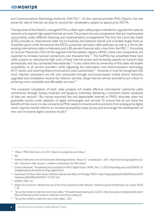and Communications Technology Authority (NICTA).<sup>15</sup> As the national provider, PNG DataCo Ltd. sets prices for sale of internet services to second-tier wholesalers, subject to approval by NICTA.

The keystone of the DataCo-managed NTN is a fiber optic cable project intended to upgrade the national network and expand high-speed internet services. The project has two components that are implemented concurrently under different financing and implementation arrangements. The first, the Coral Sea Cable (CS2), provides an international cable link to Australia and Solomon Islands and is funded largely from an Australian grant, while the second, the KSCN, comprises domestic cable pathways as well as a link to the existing international cable to Indonesia and is 85 percent financed with a loan from the PRC.<sup>16</sup> According to Duncan Macintosh, CEO of the regional Internet address registry APNIC, these two components are expected to increase national connectivity one thousand-fold.<sup>17</sup> The GoPNG has presented these twin cable projects as reducing the high costs of local internet access and increasing capacity to transmit data domestically and stay connected internationally.<sup>18</sup> It also claims that its ownership of the cable will enable accessibility to all service providers while regulating the information and communications technology (ICT) sector and lowering telecommunications costs substantially.<sup>19</sup> However, it must be recognized that most internet consumers are still only connected through microwave-based mobile phone networks; upgraded and competitive second-tier telecom services (large internet service providers) are critical to achieving more accessible and affordable services.<sup>20</sup>

The successful completion of both cable projects will enable effective international submarine cable connectivity through Sydney, Australia, and Jayapura, Indonesia, delivering a minimum twenty terabytes of data per second.<sup>21</sup> But having improved fast and dependable internet at PNG's doorstep does not guarantee country-wide adoption of digital technologies and services. To ensure that all can share the benefits of the country's new connectivity, PNG needs to move its entire economy from analogue to digital, which requires market reforms to increase accessibility, lower prices, and encourage the development of new and innovative digital solutions locally.22

*<sup>13</sup> "About," PNG DataCo, June 22, 2021, https://www.pngdataco.com/about/* 

*<sup>14</sup> Ibid*

*<sup>15</sup> National Information and Communications Technology Authority, "About Us," accessed July 1, 2021, https://www.nicta.gov.pg/about-us/* 

*<sup>16</sup> Moi, "Submarine cable network 'a milestone achievement' for PNG, China,"* 

*<sup>17</sup> Duncan Macintosh, "Strengthening the Foundation for PNG's Digital Future," APNIC, May 13, 2020, https://blog.apnic.net/2020/05/13/ strengthening-the-foundation-for-pngs-digital-future/* 

*<sup>18</sup> Government of Papua New Guinea, National Cybersecurity Policy and Strategy, 2020, 6. https://ict.gov.pg/policy/Draft%20National%20 Cybersecurity%20Policy%202021-012021.pdf* 

*<sup>19</sup> GoPNG, 2020, 167*

*<sup>20</sup> Joseph Kim Suwamaru, "Beneath the veil of the Kumul Submarine Cable Network," Electronic Journal of Informatics, Vol. 2 (June 2020): 1-25*

*<sup>21</sup> "Set up the market to make the most of new cables," PricewaterhouseCoopers, June 23, 2021, https://www.pwc.com/pg/en/publications/ Points-of-View/set-up-the-market-to-make-the-most-of-new-cables.pdf.* 

*<sup>22</sup> "Set up the market to make the most of new cables," 2021*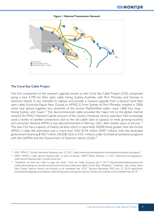

**Figure 1. National Transmission Network**

#### **The Coral Sea Cable Project**

The first component of the network upgrade, known as the Coral Sea Cable Project (CS2), comprised laying a new 4,700 km fiber optic cable linking Sydney, Australia, with Port Moresby and Honiara in Solomon Islands. It was intended to replace and provide a massive upgrade from a second hand fiber optic cable (Australia-Papua New Guinea, or APNG-2) from Sydney to Port Moresby installed in 2006, which had spliced together two stretches of the former PacRimWest cable—each 1,800 kms long linking Sydney with Guam.<sup>23</sup> The decommissioned cable provided the major link to the global internet network for PNG's National Capital and part of the country. However, various operators had increasingly used a variety of satellite connections due to the old cable's lack of capacity to meet growing business and consumer demand. APNG-2 was decommissioned in February 2021 after sixteen years of service. <sup>24</sup> The new CS2 has a capacity of twenty terabits, which is reportedly 20,000 times greater than the former APNG-2 cable; the estimated cost is more than USD \$144 million (K407 million), with the Australian government financing \$100.7 million (AUD\$136.6 or K331 million) under its bilateral assistance programs with the GoPNG and the Government of Solomon Islands (GoSI).<sup>25</sup>

*<sup>23</sup> ASN, "APNG-2," Alcatel Submarine Networks, June 23, 2021, https://www.submarinenetworks.com/en/systems/australia-usa/apng-2*

*<sup>24</sup> EMTV, "APNG-2 Cable decommissioned after 16 years of Service," EMTV Online, February 13, 2021, https://emtv.com.pg/apng-2 cable-decommissioned-after-16-years-of-service/* 

*<sup>25</sup> "Installation of Coral Sea Cable to begin this week," Coral Sea Cable Company, July 9, 2019, https://coralseacablecompany.com/ media-releases/pngs-ict-champions-honoured-at-coral-sea-cable-event-5gl5k-c7cw6; Kevin McQuillan, "Undersea cable linking Papua New Guinea, Solomon Islands and Australia to be completed late 2019," Business Advantage PNG, June 25, 2018, https://www. businessadvantagepng.com/undersea-cable-linking-papua-new-guinea-solomon-islands-and-australia-to-be-completed-late-2019/*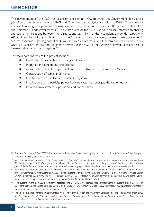The development of the CS2 was based on a tripartite MOU between the Government of Australia (GoA) and the Governments of PNG and Solomon Islands, signed on July 11, 2018.26 Two thirds of the grant funding was provided by Australia with the remaining balance jointly funded by the PNG and Solomon Islands governments.<sup>27</sup> The stated aim of the CS2 was to increase information sharing and strengthen relations between the three countries, in light of the insufficient bandwidth capacity in APNG-2 and lack of any cable linking to the Solomon Islands. However, the Australian government's security concerns regarding potential Huawei-installed cables from Port Moresby and Honiara to Sydney were also a critical motivation for its involvement in the CS2, as the funding followed its rejection of a Huawei cable installation in Sydney<sup>28</sup>

The main components of the project include:

- Feasibility studies, technical scoping, and design
- Materials and equipment procurement
- Construction of a fiber optic cable network between Sydney and Port Moresby
- Construction of cable landing sites
- Installation of an electronic transmission system
- Installation of an electricity power back-up system to energize the cable network
- Project administration, supervision, and coordination

*<sup>26</sup> Solomon Submarine Cable, "SISCC: Solomon Islands Submarine Cable Company Limited," Solomon Island Submarine Cable Company Ltd, June 23, 2021, https://siscc.com.sb/* 

*<sup>27</sup> Submarine Networks, "Coral Sea (CS2)," accessed July 1, 2021, https://www.submarinenetworks.com/en/systems/asia-australia/coral-sea; "Australian Foreign Minister Payne joins Prime Minister Hou for Coral Sea Cable ground-breaking ceremony," Coral Sea Cable Company, June 23, 2021, https://coralseacablecompany.com/media-releases/pngs-ict-champions-honoured-at-coral-sea-cable-event-6a3ch* 

*<sup>28</sup> Winston Qiu, "Coral Sea Cable System Overview," Submarine Cable Networks, December 19, 2019, https://www.submarinenetworks. com/en/systems/asia-australia/coral-sea/coral-sea-cable-system-overview; Colin Packham, "Ousting Huawei, Australia Finishes Laying Undersea Internet Cable for Pacific Allies," Reuters, August 27, 2019, https://www.reuters.com/article/us-australia-pacific-cable/oustinghuawei-australia-finishes-laying-undersea-internet-cable-for-pacific-allies-idUSKCN1VI08H*

*<sup>29</sup> "The System," Coral Sea Cable Company, accessed June 30, 2021, www.coralseacablecompany.com/the-system; David James, "Ten Questions Answered about the Coral Sea Cable System," Business Advantage PNG, October 30, 2018, https://www.businessadvantagepng. com/ten-questions-answered-about-the-coral-sea-cable-system/* 

*<sup>30</sup> The Solomon Islands Submarine Cable Company is a joint venture between the Investment Corporation of the Solomon Islands (an SOE) and the Solomon Islands' National Provident Fund. Solomon Submarine Cable, "Solomon Islands Submarine Cable Company Limited: Shareholding," accessed July 1, 2021, https://siscc.com.sb/*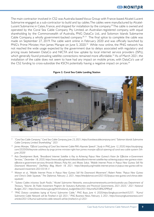The main contractor involved in CS2 was Australia-based Vocus Group with France-based Alcatel-Lucent Submarine engaged as a sub-contractor to build and lay cables. The cables were manufactured by Alcatel-Lucent Submarine in Calais, France, and shipped for installation by the company.<sup>29</sup> The cable is owned and operated by the Coral Sea Cable Company Pty Limited, an Australian-registered company, with equal shareholding by the Commonwealth of Australia, PNG DataCo Ltd., and Solomon Islands Submarine Cable Company, a wholly government-backed company.<sup>30, 31</sup> The final splice to complete the cable was made on September 27, 2019. The cable went online in February 2020 and was officially launched by PNG's Prime Minister, Hon James Marape on June 5, 2020.<sup>32</sup> While now online, the PNG network has not reached the wide usage expected by the government due to delays associated with regulatory and pricing issues between DataCo and NICTA and low uptake by local internet service providers (ISPs), which generally found prevailing satellite connections remained more affordable.<sup>33</sup> As of March 2021, the installation of the cable does not seem to have had any impact on mobile prices, with DataCo's use of the CS2 funding to cross-subsidize the KSCN potentially having a negative impact on prices.<sup>34</sup>

**Figure 2. Coral Sea Cable Landing Station**

- *<sup>31</sup> "Coral Sea Cable Company," Coral Sea Cable Company, June 23, 2021, https://coralseacablecompany.com/; "Solomon Islands Submarine Cable Company Limited: Shareholding," 2021*
- *<sup>32</sup> James Marape, "Official Launching of Coral Sea Internet Cable-PM's Keynote Speech", Study in PNG, June 12, 2020, https://studyinpng. com/2020/06/keynote-address-by-pngs-prime-minister-right-hon-james-marape-official-opening-of-coral-sea-cable-system-5thjune-2020/*
- *<sup>33</sup> Asia Development Bank, "Broadband Internet Satellite is Key to Achieving Papua New Guinea's Vision for Effective e-Government Services," December 18, 2020, https://www.adb.org/news/videos/broadband-internet-satellite-key-achieving-papua-new-guineas-visioneffective-e-government-services; Amanda Watson, Picky Airi, and Moses Sakai, "Mobile Internet Prices in Papua New Guinea: Still No Downward Movement," DevPolicy Blog, March 18, 2021. https://devpolicy.org/mobile-internet-prices-in-papua-new-guinea-still-nodownward-movement-20210318-1/*
- *<sup>34</sup> Watson et al., "Mobile Internet Prices in Papua New Guinea: Still No Downward Movement"; Robert Potter, "Papua New Guinea and China's Debt Squeeze," The Diplomat, February 2, 2021, https://thediplomat.com/2021/02/papua-new-guinea-and-chinas-debtsqueeze/.*
- *<sup>36</sup> "Subsea Cables in/across South Pacific," Alcatel Submarine Networks, www.submarinenetworks.com/en/australia-usa; Department of Treasury, "Volume 3b: Public Investment Program for Statutory Authorities and Provincial Governments, 2021-2025," 2021 National Budget, 2021, https://www.treasury.gov.pg/html/national\_budget/files/2021/Volume%203B%20PIP.pdf*
- *<sup>37</sup> "PNG Dataco completes laying of Kumul Submarine Cable," PNG Buzz, June 4, 2020,https://pngbuzz.com/tech/5257; "Kumul Submarine Cable Network will be Finished in Q3 2021," PNG Business News, February 3, 2021, https://www.pngbusinessnews.com/ articles/2021/2/kumul-submarine-cable-network-will-be-finished-in-q3-2021*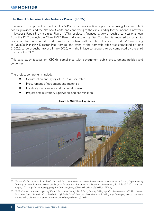### **The Kumul Submarine Cable Network Project (KSCN)**

The second component is the KSCN, a 5,457 km submarine fiber optic cable linking fourteen PNG coastal provinces and the National Capital and connecting to the cable landing for the Indonesia network in Jayapura, Papua Province (see Figure 1). This project is financed largely through a concessional loan from the PRC through the China EXIM Bank and executed by DataCo, which is "required to sustain its operations from revenues derived from the sale of bandwidth to Internet Service Providers."<sup>36</sup> According to DataCo Managing Director Paul Komboi, the laying of the domestic cable was completed on June 2, 2020, to be brought into use in July 2020, with the linkage to Jayapura to be completed by the third quarter of 2021.<sup>37</sup>

This case study focuses on KSCN's compliance with government public procurement policies and guidelines.

The project components include:

- Construction and laying of 5,457 km sea cable
- Procurement of equipment and materials
- Feasibility study, survey, and technical design
- Project administration, supervision, and coordination



#### **Figure 3. KSCN Landing Station**

*<sup>36</sup> "Subsea Cables in/across South Pacific," Alcatel Submarine Networks, www.submarinenetworks.com/en/australia-usa; Department of Treasury, "Volume 3b: Public Investment Program for Statutory Authorities and Provincial Governments, 2021-2025," 2021 National Budget, 2021, https://www.treasury.gov.pg/html/national\_budget/files/2021/Volume%203B%20PIP.pdf* 

*<sup>37</sup> "PNG Dataco completes laying of Kumul Submarine Cable," PNG Buzz, June 4, 2020,https://pngbuzz.com/tech/5257; "Kumul Submarine Cable Network will be Finished in Q3 2021," PNG Business News, February 3, 2021, https://www.pngbusinessnews.com/ articles/2021/2/kumul-submarine-cable-network-will-be-finished-in-q3-2021*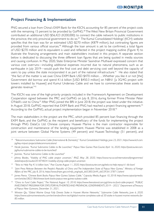# **Project Financing & Implementation**

PNG secured a loan from China's EXIM Bank for the KSCN, accounting for 85 percent of the project costs with the remaining 15 percent to be provided by GoPNG.<sup>38</sup> The West New Britain Provincial Government contributed an additional USD \$56,423 (K200,000) to connect the cable network to public institutions in the province, the only provincial government to do so.<sup>39</sup> The Kumul Consolidated Holdings' (KCH) website specifies that the loan was for an estimated USD \$270 million (K879 million), but contrasting figures are provided from various official sources.<sup>40</sup> Although the loan amount is yet to be confirmed, a total figure of USD \$270 million and its equivalent is used and reflected in the project mapping outline (Figure 4) to illustrate the financing arrangements and main stakeholders involved in this project. A separate section below is dedicated to discussing the three different loan figures that are being quoted in media sources and causing confusion. In May 2020, State Enterprise Minister Sasindran Muthavel expressed concern that various cost overruns—including additional expenses incurred due to natural phenomena, such as an earthquake in July 2019—would push the final cost and debt servicing cost well beyond the capacity of users to pay unless the state incorporated it as part of the national infrastructure.<sup>41</sup> He also stated that "the fact of the matter is we owe China EXIM Bank USD \$470 million…. Whether you like it or not [the] Government did borrow and spend K1.6 billion [USD \$450.3 million] on NBN1 [a 3G/4G project with towers installed by Huawei] and Kumul Undersea Cable and we have to commercialise these assets to generate revenue."<sup>42</sup>

The KSCN was one of the high-priority projects included in the Framework Agreement on Development Cooperation signed between the PRC and GoPNG on July 8, 2016, during former Prime Minister Peter O'Neill's visit to China.<sup>43</sup> After PNG joined the BRI in June 2018, the project was listed under the initiative. In August 2018, GoPNG reported that EXIM Bank and PNG had reached a project financing agreement.<sup>44</sup> According to the GoPNG, actual project implementation began in November 2018.45

The main stakeholders in the project are the PRC, which provided 85 percent loan financing through the EXIM Bank, and the GoPNG as the recipient and beneficiary of the funds for implementing the project through PNG DataCo Ltd. Chinese company Huawei Marine is the main contractor responsible for construction and maintenance of the landing equipment. Huawei Marine was established in 2008 as a joint venture between Global Marine Systems (49 percent) and Huawei Technology (51 percent), and

*<sup>38</sup> "Telecommunications: Submarine Cable (International & Domestic)," Kumul Consolidated Holdings, June 23, 2021, https://www.kch.com. pg/key-impact-projects/telecommunications/* 

*<sup>39</sup> Nicole Joannes, "Kumul Submarine Cables to Be Launched," Papua New Guinea Post-Courier, April 16, 2020, https://postcourier.com. pg/kumul-submarine-cables-to-be-launched/* 

*<sup>40</sup> Joannes, "Kumul Submarine Cables to Be Launched"* 

*<sup>41</sup> Johnny Blades, "Viability of PNG cable project uncertain," RNZ, May 28, 2020, https://www.rnz.co.nz/international/programmes/ datelinepacific/audio/2018748241/viability-of-png-cable-project-uncertain* 

*<sup>42</sup> "Telco to Help Pay K1.6 billion loan," Post Courier, August 11, 2020, https://postcourier.com.pg/telco-to-help-repay-k1-6b-loan/* 

*<sup>43</sup> "Joint Press Release Between the People's Republic of China and The Independent State of Papua New Guinea," Ministry of Foreign Affairs of the PRC, July 8, 2016, https://www.fmprc.gov.cn/mfa\_eng/wjdt\_665385/2649\_665393/t1378713.shtml* 

*<sup>44</sup> James Pierce, "Chinese Bank Backs Papua New Guinea Subsea Cable," Capacity Media, August 10, 2018. https://www.capacitymedia. com/articles/3822186/chinese-bank-backs-papua-new-guinea-subsea-cable.* 

*<sup>45</sup> "China to Fund Cable Project," The National, August 10, 2018, https://www.thenational.com.pg/china-to-fund-cable-project/; "PUBLIC INVESTMENT PROGRAM FOR STATUTORY AUTHORITIES AND PROVINCIAL GOVERNMENTS 2019 – 2023," Department of Treasury of Papua New Guineans, December 31, 2021,* 

*<sup>46</sup> Winston Qiu, "Global Marine Group Fully Divests Stake in Huawei Marine Networks," Submarine Cable Networks, June 6, 2020. https://www.submarinenetworks.com/en/vendors/hmn-tech/global-marine-completes-sale-of-30-stake-in-huawei-marine-networks-for-85-million.*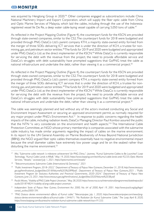was acquired by Hengtong Group in 2020.<sup>46</sup> Other companies engaged as subcontractors include: China National Machinery Import and Export Corporation, which will supply the fiber optic cable from China; and Optic Marine Services of Malaysia, which laid the cables, including through the use of the Indonesiaregistered vessel Ile De Re, a deep water cable-laying vessel capable of carrying 5,050 tons of cable.<sup>47</sup>

As reflected in the Project Mapping Outline (Figure 4), the counterpart funds for the KSCN are provided through state-owned companies, similar to the CS2. The counterpart funds for 2018 were budgeted and provided through PNG DataCo Ltd.'s parent company KTH, a majority state-owned entity formed from the merger of three SOEs delivering ICT services that is under the direction of KCH, a trustee for nonmining, gas, and petroleum sector entities.<sup>48</sup> The funds for 2019 and 2020 were budgeted and appropriated under PNG DataCo Ltd. as the direct implementer of the KSCN.<sup>49</sup> While DataCo is currently responsible for servicing the debt with the revenue from the project, the need to provide affordable service and DataCo's struggles with debt sustainability have prompted suggestions that GoPNG treat the cable as national infrastructure and undertake the debt, rather than viewing it as a commercial project.<sup>50</sup>

As reflected in the Project Mapping Outline (Figure 4), the counterpart funds for the KSCN are provided through state-owned companies, similar to the CS2. The counterpart funds for 2018 were budgeted and provided through PNG DataCo Ltd.'s parent company KTH, a majority state-owned entity formed from the merger of three SOEs delivering ICT services that is under the direction of KCH, a trustee for nonmining, gas, and petroleum sector entities.<sup>48</sup> The funds for 2019 and 2020 were budgeted and appropriated under PNG DataCo Ltd. as the direct implementer of the KSCN.<sup>49</sup> While DataCo is currently responsible for servicing the debt with the revenue from the project, the need to provide affordable service and DataCo's struggles with debt sustainability have prompted suggestions that GoPNG treat the cable as national infrastructure and undertake the debt, rather than viewing it as a commercial project.<sup>50</sup>

The cable was seemingly planned and laid without any of the actors involved conducting any Social and Environment Impact Assessment or securing an approved environment permit, as normally required for any major project under PNG's Environment Act.<sup>51</sup> In response to public concerns regarding the health impacts of the cable, including radiation levels, DataCo Managing Director Paul Komboi assured the public that the NTN "is very considerate on the environment and health aspects."52 The International Cable Protection Committee, an NGO whose primary membership is companies associated with the submarine cable industry, has made similar arguments regarding the impact of cables on the marine environment. In its report to the UN General Assembly on Marine Biodiversity of Areas Beyond National Jurisdiction (BBNJ), the NGO argued fiber optic cables themselves essentially have no negative environmental impact because the small diameter cables have extremely low power usage and lie on the seabed rather than disturbing the marine environment.<sup>53</sup>

*<sup>47</sup> Moi, "Submarine cable network 'a milestone achievement' for PNG, China,"; Joannes, "Kumul Submarine Cables to Be Launched"; Loop Technology, "Kumul Cable Lands in ARoB," May 19, 2020, https://www.looppng.com/tech/kumul-cable-lands-arob-92235; Optic Marine Services, "Vessels," accessed July 1, 2021, https://opticmarine.com/vessels/* 

*<sup>48</sup> "Telecommunications: Submarine Cable (International & Domestic)," 2021* 

*<sup>49</sup> "Public Investment Program, 2018–2022," Department of Treasury of Papua New Guineans, December 31, 2018, http://www.treasury. gov.pg/html/national\_budget/files/2018/Volume%203%20PIP.pdf ; Department of Treasury of Papua New Guineans,2021 ; "Public Investment Program for Statutory Authorities and Provincial Governments, 2020–2024," Department of Treasury of Papua New Guineans, June 23, 2021, http://www.treasury.gov.pg/html/national\_budget/files/2020/Volume%203B.pdf*

*<sup>50</sup> Pacific Waves, "Viability of PNG Cable Project Uncertain," May 28, 2020. https://www.rnz.co.nz/international/programmes/datelinepacific/ audio/2018748241/viability-of-png-cable-project-uncertain.* 

*<sup>51</sup> Independent State of Papua New Guinea, Environment Act 2000, No. 64 of 2000, April 19, 2001. http://www.paclii.org/pg/legis/ consol\_act/ea2000159/.*

*<sup>52</sup> "PNG Dataco denies environmental effects of Kumul cable," Telecompaper, July 1, 2020, https://www.telecompaper.com/news/pngdataco-denies-environmental-effects-of-kumul-cable--1344671; "No Radiation for Kumul Submarine Cable," The Loop, April 8, 2020, https://www.looppng.com/business/no-radiation-kumul-submarine-cable-network-kscn-91333.*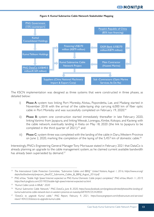

**Figure 4: Kumul Submarine Cable Network Stakeholder Mapping**

The KSCN implementation was designed as three systems that were constructed in three phases, as detailed below:

- i) Phase A: system two linking Port Moresby, Alotau, Popondetta, Lae, and Madang started in November 2018 with the arrival of the cable-laying ship carrying 6,000 km of fiber optic cable in Port Moresby and was successfully completed on February 19, 2020;<sup>54</sup>
- ii) Phase B: system one construction started immediately thereafter in late February 2020, linking Vanimo from Jayapura, and linking Wewak, Lorengau, Kimbe, Kokopo, and Kavieng with the cable network, eventually landing in Kieta on May 18, 2020 (the link to Jayapura to be completed in the third quarter of 2021);<sup>55</sup> and
- iii) Phase C: system three was completed with the landing of the cable in Daru, Western Province on June 2, 2020, marking the completion of the laying of the 5,457 km of domestic cable.<sup>56</sup>

Interestingly, PNG's Engineering General Manager Tony Morisause stated in February 2021 that DataCo is already planning an upgrade to the cable management system, as he claimed current available bandwidth has already been superseded by demand.<sup>57</sup>

*<sup>53</sup> The International Cable Protection Committee, "Submarine Cables and BBNJ," United Nations, August 1, 2016, https://www.un.org/ depts/los/biodiversity/prepcom\_files/ICC\_Submarine\_Cables\_&\_BBNJ\_August\_2016.pdf*

*<sup>54</sup> PNG eHow, "Stable High Speed Internet expected as PNG Kumul Domestic Cable project completed," PNG eHow, March 11, 2019, https://tech.pngfacts.com/2019/03/stable-high-speed-internet-expected-as.html.* 

*<sup>55</sup> "Kumul Cable Lands in ARoB," 2020* 

*<sup>56</sup> "Kumul Submarine Cable Network," PNG DataCo, June 8, 2020, https://www.facebook.com/pngdatacolimited/photos/the-landing-ofkumul-submarine-cable-network-kscn-in-western-province-on-tuesday/687839235342850/.* 

*<sup>57</sup> "DataCo to upgrade Kumul cable," PNG Report, February 9, 2021, https://www.pngreport.com/infrastructure-and-services/ news/1404233/dataco-to-upgrade-kumul-cable.*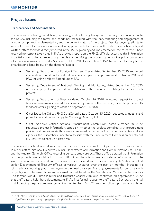# **Project Issues**

# **Transparency and Accountability**

The researchers had great difficulty accessing and collecting background primary data in relation to the KSCN, including the terms and conditions associated with the loan, tendering and engagement of contractors, project implementation, and the current status of the project. Despite ongoing efforts to secure further information, including seeking appointments for meetings through phone calls, emails, and written letters to those directly involved in the KSCN planning and implementation, the researchers have received no response. As noted in INA's previous report on the PMIZ, difficulty accessing this information is partially due to the absence of any law clearly identifying the process by which the public can access information as guaranteed under Section 51 of the PNG Constitution.<sup>59</sup> INA has written formally to the organizations listed below on the dates reflected:

- Secretary, Department of Foreign Affairs and Trade; dated September 25, 2020: requested information in relation to bilateral collaborative partnership framework between PNG and PRC including projects funded under BRI.
- Secretary, Department of National Planning and Monitoring; dated September 25, 2020: requested project implementation updates and other documents relating to the case study projects.
- Secretary, Department of Treasury; dated October 16, 2020: follow-up request for project financing agreements related to all case study projects. The Secretary failed to provide INA feedback after agreeing to assist on September 14, 2020.
- Chief Executive Officer, PNG DataCo Ltd; dated October 15, 2020: requested a meeting and project information with copy to Managing Director, KTH.
- Chief Executive Officer, National Procurement Commission; dated October 30, 2020: requested project information, especially whether the project complied with procurement policies and guidelines. As this question received no response from other key central and line agencies, the researchers undertook to liaise with the Procurement Commission directly but INA has yet to receive a response.

The researchers held several meetings with senior officers from the Department of Treasury, Prime Minister's office, National Executive Council, Department of Information and Communications, KCH, KTH, and the Auditor General's Office regarding our case study projects. These officials stated that information on the projects was available but it was difficult for them to access and release information to INA given the large sums involved and the sensitivities associated with Chinese funding. INA also consulted senior Department of Treasury officials at various junctures over the past six months—including via joint technical working group meetings—on the need to access financing agreements for our case study projects, only to be asked to submit a formal request to either the Secretary or Minister of the Treasury. The former Deputy Prime Minister and Treasurer Charles Abel also confirmed on September 4, 2020, that the Treasury held these documents. As INA's first formal request to the Treasury Secretary via email is still pending despite acknowledgement on September 15, 2020, another follow up in an official letter

*<sup>59</sup> "PNG Needs Right to Information (RTI) Law to Address Public-Sector Corruption," Transparency International PNG, September 27, 2019, https://www.transparencypng.org.pg/png-needs-right-to-information-rti-law-to-address-public-sector-corruption/*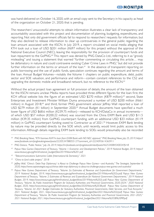was hand-delivered on October 16, 2020, with an email copy sent to the Secretary in his capacity as head of the organization on October 21, 2020; that is pending.

The researchers' unsuccessful attempts to obtain information illustrates a clear lack of transparency and accountability associated with this project and documentation of planning, budgeting, expenditures, and reporting. Not only did government officials fail to respond to researchers' requests for information, but they also declined to release information to clear up controversies in the general public regarding the loan amount associated with the KSCN. In July 2019, a report circulated on social media alleging that KTH took out a loan of USD \$201 million (K697 million) for this project without the approval of the National Executive Council (NEC), leaving the responsibility for the provision of counterpart funds and loan repayment to the GoPNG.<sup>60</sup> This report was denied by PNG DataCo Ltd., referring to it as "grossly misleading" and issuing a statement that warned "further commenting or circulating this article… may be defamatory in nature and could contravene existing Cyber Crime Laws in PNG," but did not provide further information on the terms or amount of the loan.<sup>61</sup> In the absence of transparent reporting on public borrowing and the use of public funds, speculation continues regarding the amount and terms of the loan. Annual Budget Volumes—notably the Volume 1 chapters on public expenditure, debt, public sector and SOE valuation, and performance and reform—contain constant references to the CS2 and upgrading the domestic mobile and broadband network, but no reference to the KSCN.<sup>62</sup>

Without the actual project loan agreement or full provision of details, the amount of the loan obtained for the KSCN remains unclear. Media reports have provided three different figures for the loan: first, the KCH official website lists the figure of an estimated USD \$270 million (K879 million);<sup>63</sup> second, State Enterprises and Investment Minister William Duma announced a number of USD \$200 million (K661 million) in August 2018;<sup>64</sup> and third, former PNG government advisor Jeffrey Wall reported a loan of USD \$279 million (K1 billion) in September 2020.<sup>65</sup> Annual Budget documents have specified a much lower figure of USD \$68.6 million (K239.75 million)—released to KCH/DataCo in annual increments of which USD \$57 million (K200.22 million) was sourced from the China EXIM Bank and USD \$11.5 million (K39.35 million) from GoPNG counterpart funding, with an additional USD \$33 million (K119 million) in GoPNG counterpart funding owed to Contractor as of 2021.<sup>66</sup> However, EXIM Bank lending by nature may be provided directly to the SOE which, until recently, would limit public access to this information. Although details regarding EXIM bank lending to SOEs would presumably also be recorded

*<sup>60</sup> PNG Breaking News, "KTH borrows K697m loan from EXIM Bank with NO NEC approval," PNG Breaking News, July 25, 2019, https:// www.facebook.com/pngbreakingnews/posts/2220534788055127?comment\_id=2224093614365911*

*<sup>61</sup> PNG Dataco, "Public Notice," July 26, 2019, https://m.facebook.com/pngdatacolimited/posts/462534084540034?fs=8* 

*<sup>62</sup> Papua New Guinea Department of Treasury, "Volume 1: Economic and Development Policies," 2019 National Budget, 2019, https:// www.treasury.gov.pg/html/national\_budget/files/2019/Volume%201.pdf* 

*<sup>63</sup> "Telecommunications: Submarine Cable (International & Domestic)," 2021*

*<sup>64</sup> "China to fund cable project," 2018* 

*<sup>65</sup> Jeffrey Wall, "China's 'Debt-Trap Diplomacy' is About to Challenge Papua New Guinea—and Australia," The Strategist, September 8, 2020, https://www.aspistrategist.org.au/chinas-debt-trap-diplomacy-is-about-to-challenge-papua-new-guinea-and-australia/* 

*<sup>66</sup> Papua New Guinea Department of Treasury, "Volume 2a: Estimates of Revenue and Expenditure for Government Departments," 2019 National Budget, 2019, https://www.treasury.gov.pg/html/national\_budget/files/2019/Volume%202a.pdf; Papua New Guinea Department of Treasury, "Volume 2: Estimates of Revenue and Expenditure for National Government Departments," 2019 National Budget, 2019, https://www.treasury.gov.pg/html/national\_budget/filces/2019/Volume%202c.pdf; Papua New Guinea Department of Treasury, "Volume 3b, Public Investment Program for Statutory Authorities and Provincial Governments, 2020-2024," 2020 National Budget, 2020, https://www.treasury.gov.pg/html/national\_budget/files/2020/Volume%203B.pdf; Papua New Guinea Department of Treasury, "Volume 2d: 2021 Budget Estimates for Statutory Authorities, Provincial Governments, Debt Services, and Trust Accounts," 2021 National Budget, 2021, https://www.treasury.gov.pg/html/national\_budget/files/2021/Volume%202d.pdf; Papua New Guinea Department of Treasury, "Volume 3b: Public Investment Program for Statutory Authorities and Provincial Governments, 2021-2025," 2021 National Budget, 2021, https://www.treasury.gov.pg/html/national\_budget/files/2021/Volume%203B%20PIP.pdf.*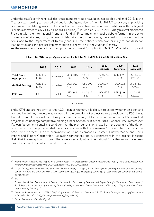under the state's contingent liabilities, these numbers would have been inaccessible until mid-2019, as the Treasury was seeking to keep official public debt figures down.<sup>67</sup> In mid-2019, Treasury began providing comprehensive debt figures, including court orders, guarantees, and contingent liabilities, with contingent liabilities estimated at USD \$3.9 billion (K14.1 billion).<sup>68</sup> In February 2020, GoPNG began a Staff Monitored Program with the International Monetary Fund (IMF) to implement public debt reforms.<sup>69</sup> In order to minimize confusion regarding the level of debt taken on by the country, the actual loan amount must be confirmed by the Department of Treasury and KTH, the entities which have primary responsibility for loan negotiations and project implementation oversight, or by the Auditor General.

As the researchers have not had the opportunity to meet formally with PNG DataCo Ltd. or its parent

|                                    | 2016               | 2017        | 2018                    | 2019                             | 2020<br>(estimate)        | 2020<br>(estimate)      | 2020<br>(estimate)                 |
|------------------------------------|--------------------|-------------|-------------------------|----------------------------------|---------------------------|-------------------------|------------------------------------|
| <b>Total Funds</b><br>Appropriated | USD \$1.9<br>KI.85 | None listed | USD \$10.7<br>K35       | <b>USD \$2.3</b><br>K7.72        | <b>USD \$35.7</b><br>K125 | USD \$19.4<br>K70       | USD \$68.6<br>K <sub>2</sub> 39.75 |
| <b>GoPNG Funding</b>               | USD \$1.9<br>KI.85 | None listed | <b>USD \$4.6</b><br>K15 | <b>USD \$0.7</b><br>K2.5         | <b>USD \$2.9</b><br>K10   | <b>USD \$2.8</b><br>KI0 | USD \$11.5<br>K39.35               |
| <b>PRC Loan</b>                    | K <sub>0</sub>     | None listed | <b>USD \$6.1</b><br>K20 | $USD$ \$1.5<br>K <sub>5.22</sub> | USD \$32.8<br>K115        | USD \$16.6<br>K60       | <b>USD \$57</b><br>K200.22         |

#### **Table 1: GoPNG Budget Appropriations for KSCN, 2016-2020 (million USD \$, million Kina)**

*Source: Various.70*

entity KTH and are not privy to the KSCN loan agreement, it is difficult to assess whether an open and competitive bidding process was followed in the selection of project service providers. As KSCN was funded by an international loan, it may not have been subject to the requirement under PNG law that projects must undergo competitive bidding. Under Section 7(4) of the 2018 National Procurement Act, if a loan "agreement contains a condition that the provider shall originate from the country of the donor, procurement of the provider shall be in accordance with the agreement."<sup>71</sup> Given the opacity of the procurement process and the prominence of Chinese companies—namely, Huawei Marine and China Import and Export Corporation—as major contractors and sub-contractors in this project, it seems likely that this exception was used. There were certainly other international firms that would have been eager to bid for this contract had it been open.<sup>72</sup>

*<sup>67</sup> International Monetary Fund, "Papua New Guinea: Request for Disbursement Under the Rapid Credit Facility," June 2020. https://www. imf.org/~/media/Files/Publications/CR/2020/English/1PNGEA2020002.ashx.* 

*<sup>68</sup> Satish Chand, Junaid Sadiq Masood, and Vijaya Ramachandran, "Managing Fiscal Challenges in Contemporary Papua New Guinea," Center for Global Development, May 2020. https://www.cgdev.org/sites/default/files/managing-fiscal-challenges-contemporary-papuanew-guinea.pdf.* 

*<sup>69</sup> Ibid.* 

*<sup>70</sup> Papua New Guinea Department of Treasury, "Volume 2a: Estimates of Revenue and Expenditure for Government Departments," 2019; Papua New Guinea Department of Treasury,"2019; Papua New Guinea Department of Treasury, 2020; Papua New Guinea Department of Treasury, 2021*

*<sup>71</sup> "National Procurement Act (NPA) 2018," Department of Finance, November 28, 2018, http://www.finance.gov.pg/wp-content/ uploads/2019/02/Certified\_National\_Procurement\_Act\_2018.pdf ,*

*<sup>72</sup> Personal communication with Digicel*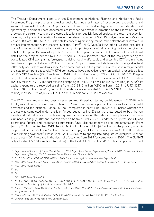The Treasury Department along with the Department of National Planning and Monitoring's Public Investment Program prepares and makes public its annual estimates of revenue and expenditure and submits these with the Annual Appropriation Bill and other budget legislation for consideration and approval by Parliament. These documents are intended to provide information on the allocations for the previous and current years and projected allocations for publicly funded projects and recurrent activities, including background information. However, the relevant volumes of GoPNG budget documents (Volume 2d and 3) from 2016 to 2021 lack details concerning financing terms, other stakeholders involved in project implementation, and changes in scope, if any.<sup>73</sup> PNG DataCo Ltd.'s official website provides a map of its network with small annotations along with photographs of cable landing stations, but gives no detail on the project's financial aspects.<sup>74</sup> The website of parent company KTH provides little additional detail on the project, but the KCH's 2019 Annual Review indicates some of the challenges facing the consolidated KTH, saying it has "struggled to deliver quality, affordable and accessible ICT" and maintains less than a 15 percent share of PNG's ICT market.<sup>75</sup> Specific issues include legacy technology, structural inflexibility, and lack of working capital, "with some entities in the group unable to invest in major capital projects to compete effectively." <sup>76</sup> KTH continues to have a negative return on capital; it recorded a loss of USD \$12.6 million (K41.5 million) in 2018 and unaudited loss of K72.4 million in 2019.<sup>77</sup> Despite projected falls in revenue, KTH continues to spend; in its budget it records a revenue of USD \$151 million (K518.6 million) in 2019 but forecasts this dropping to USD \$138.7 million (K486.2 million) in 2020.78 Its capital expenditure is recorded as rising from USD \$115 million (K395 million) in 2019 to USD \$237.1 million (K831 million) in 2020, but no further details were provided for this USD \$122.1 million (K436 million) increase.<sup>79</sup> As of July 2021, KTH's annual report for 2020 is not available.

The KSCN was implemented over a seventeen-month period starting on November 17, 2018, with the laying and construction of more than 5,457 km in submarine optic cable covering fourteen coastal provinces and the National Capital in PNG completed in early June 2020.<sup>80</sup> It is unclear whether the project was completed under the loan-funded budget ceiling. Delays were attributed to both human events and natural factors, notably earthquake damage severing the cable in three places in the Huon Gulf near Lae in July 2019 and not expected to be fixed until 2022.<sup>81</sup> Landowner disputes, security and operational factors, and inadequate counterpart funds also reportedly delayed implementation. From January 2018 to September 2019, the GoPNG only allocated USD \$4.3 million to the project, which is 12 percent of the USD \$36.2 million total required payment for the period, leaving USD \$31.9 million in outstanding payments.<sup>82</sup> Notably, the GoPNG's failure to appropriate adequate counterpart funds for the project in 2019 resulted in the deferral of activities from 2019 for completion in 2020.<sup>83</sup> The GoPNG only allocated USD \$1.7 million (K6 million) of the total USD \$25 million (K86 million) in planned project

- *<sup>76</sup> "KCH 2019 Annual Review"*
- *<sup>77</sup> Ibid.*
- *<sup>78</sup> Ibid.*

*<sup>73</sup> Department of Treasury of Papua New Guineans, 2020; Papua New Guinea Department of Treasury, 2019; Papua New Guinea Department of Treasury, 2019; Papua New Guinea Department of Treasury, 2021* 

*<sup>74</sup> "CABLE LANDING STATIONS NATIONWIDE," PNG DataCo, www.pngdataco.com/cable-landing-stations/* 

*<sup>75</sup> "KCH 2019 Annual Review," Kumul Consolidated Holdings, 2019, https://www.kch.com.pg/publications/kch-2019-annual-review/* 

*<sup>79</sup> "KCH 2019 Annual Review," 21*

*<sup>80</sup> "PUBLIC INVESTMENT PROGRAM FOR STATUTORY AUTHORITIES AND PROVINCIAL GOVERNMENTS 2019 – 2023," 2021; "PNG Dataco Completes Laying of Kumul Submarine Cable," 2020* 

*<sup>81</sup> "DataCo Working on Cable Outage, says Komboi," Post Courier Online, May 28, 2019, https://postcourier.com.pg/dataco-working-cableoutage-says-komboi/* 

*<sup>82</sup> "Volume 3B: Public Investment Program for Statutory Authorities and Provincial Governments, 2020–2024," 2021.*

*<sup>83</sup> Department of Treasury of Papua New Guineans, 2020*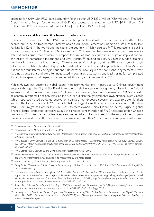spending for 2019, with PRC loans accounting for the other USD \$23.3 million (K80 million).<sup>84</sup> The 2019 Supplementary Budget further reduced GoPNG's counterpart allocation to USD \$0.7 million (K2.5 million), and PRC loans were reduced to USD \$1.5 million (K5.22 million).<sup>85</sup>

#### **Transparency and Accountability Issues: Broader context**

Transparency is an issue both in PNG public sector projects and with Chinese financing. In 2020, PNG scored only a 27 on Transparency International's Corruption Perceptions Index on a scale of 0 to 100, ranking it 142nd in the world and indicating the country is "highly corrupt."<sup>86</sup> This represents a decline in transparency since 2018, when PNG scored a 28.<sup>87</sup> These numbers are significant, as Transparency International argues that "massive disrespect for rule of law" has substantial negative implications for the health of democratic institutions and civil liberties.<sup>88</sup> Beyond this issue, Chinese-funded projects, particularly those carried out through Chinese leader Xi Jinping's signature BRI, arise largely through informal and relationship-based approaches instead of the rules-based approach favored by Western nations and multilateral lending institutions.<sup>89</sup> Researchers have argued the norms these agreements create "are not transparent and are often negotiated in countries that lack strong legal norms for complicated transactions spanning all aspects of commercial, financial, and investment law."90

While Huawei has become a global leader in telecommunications, in part due to Chinese government support through the Digital Silk Road, it remains a relatively smaller but growing player in the field of submarine cable provision worldwide.<sup>91</sup> Huawei has, however, become dominant in PNG's domestic telecommunications; it not only installed the KSCN, but also the government's own National Data Center, which reportedly used outdated encryption software that exposed government data to potential theft and left the Center inoperable.<sup>92,93</sup> The potential that Digicel, a multination conglomerate with 3.8 million PNG users, might sell off its PNG business to state-owned China Mobile to defray Digicel's global financial issues prompted concerns about the greater concentration of PNG telecoms under Chinese ownership.94 Huawei claims its objectives are commercial and client-focused, but the support the company has received under the BRI has raised concerns about whether "these projects are purely soft-power

- *<sup>90</sup> Hillman and Sacks, "China's Belt and Road: Implications for the United States"*
- *<sup>91</sup> Doug Brake, "Submarine Cables: Critical Infrastructure for Global Communications," ITIF, April 2019, https://www2.itif.org/2019 submarine-cables.pdf.*

*<sup>84</sup> Papua New Guinea Department of Treasury, 2019* 

*<sup>85</sup> Papua New Guinea Department of Treasury, 2021*

*<sup>86</sup> "Transparency International Papua New Guinea," Transparency International, June 24, 2021, https://www.transparency.org/en/countries/ papua-new-guinea#.* 

*<sup>87</sup> "PNG Scores 'Highly Corrupt' on the 2018 Corruption Perceptions Index," Transparency International Papua New Guinea, January 29, 2019, http://www.transparencypng.org.pg/wp-content/uploads/2019/01/TIPNG\_PR\_290119\_PNG\_scores\_as\_highly\_corrupt\_ on\_2018\_CPI.pdf.*

*<sup>88</sup> "PNG Scores 'Highly Corrupt' on the 2018 Corruption Perceptions Index," 2019*

*<sup>89</sup> Jennifer Hillman and David Sacks, "China's Belt and Road: Implications for the United States," Council on Foreign Relations, March 2021, https://www.cfr.org/report/chinas-belt-and-road-implications-for-the-united-states/*

*<sup>92</sup> The data center was financed through a USD \$53 million China EXIM loan, which PNG Communications Minister Timothy Masiu argued the country should not have to repay, as the center did not deliver what was promised. Angus Grigg, "Debt-trap Diplomacy: PNG Wants Huawei Loan Cancelled," Australian Financial Review, August 12, 2020, https://www.afr.com/companies/telecommunications/ debt-trap-diplomacy-png-wants-huawei-loan-cancelled-20200811-p55kmr.*

*<sup>93</sup> Angus Grigg, "Huawei Data Centre Built to Spy on PNG," Australian Financial Review, August 11, 2020, https://www.afr.com/companies/ telecommunications/huawei-data-centre-built-to-spy-on-png-20200810-p55k7w; Grigg, 2020.* 

*<sup>94</sup> Leanne Jorari and Ben Butler, "Fears in Papua New Guinea over reports of China Mobile buying major phone carrier Digicel," Guardian, May 31, 2020. https://www.theguardian.com/world/2020/jun/01/fears-in-papua-new-guinea-over-reports-of-china-mobile-buyingmajor-phone-carrier-digicel.*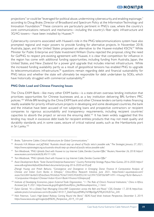projections" or could be "leveraged for political abuse, undermining cybersecurity, and enabling espionage," according to Doug Brake, Director of Broadband and Spectrum Policy at the Information Technology and Innovation Foundation.<sup>95</sup> These concerns are particularly pertinent in PNG's case, where the country's core communications network and mechanisms—including the country's fiber optic infrastructure and 3G/4G towers—have been installed by Huawei.<sup>96</sup>

Cybersecurity concerns associated with Huawei's role in the PNG telecommunications system have also prompted regional and major powers to provide funding for alternative projects. In November 2018, Australia, Japan, and the United States proposed an alternative to the Huawei-installed KSCN.<sup>97</sup> While Minister for Public Enterprise and State Investment William Duma rejected the proposal, citing the need for GoPNG to respect pre-existing agreement with Huawei, it is clear that competition for influence in the region has come with additional funding opportunities, including funding from Australia, Japan, the United States, and New Zealand for a power grid upgrade that includes internet infrastructure. While the increased funding availability partly as a result of geopolitical tensions has enabled PNG to upgrade its telecommunications infrastructure,<sup>98</sup> questions remain regarding debt and financial sustainability for PNG telcos and whether the state will ultimately be responsible for debt undertaken by SOEs, which have historically struggled with commercial sustainability.<sup>99</sup>

#### **PNG Debt Load and Chinese Financing Issues**

The China EXIM Bank—like many other EXIM banks—is a state-driven overseas lending institution that prioritizes opportunities for Chinese businesses and, as a key institution delivering BRI, furthers PRC policies.<sup>100</sup> While BRI lending by the China EXIM bank and other Chinese lenders certainly makes financing readily available for priority infrastructure projects in developing and some developed countries, the bank and the initiative have been accused of not subjecting loans and prospective contractors or recipient companies to rigorous accountability and transparency requirements, including recipient countries' capacities to absorb the project or service the ensuring debt.<sup>101</sup> It has been widely suggested that this lending may result in excessive debt loads for recipient entities; products that may not meet quality and durability standards; and, in some cases, seizure of critical national assets, such as the Hambantota port in Sri Lanka.<sup>102</sup>

*<sup>95</sup> Brake, "Submarine Cables: Critical Infrastructure for Global Communications."*

*<sup>96</sup> Amanda H.A. Watson and Jeff Wall, "Australia should step up ahead of Pacific telco's possible sale," The Strategist, January 27, 2021, https://www.aspistrategist.org.au/australia-should-step-up-ahead-of-pacific-telcos-possible-sale/.*

*<sup>97</sup> Tom Westbrook, "PNG Upholds Deal with Huawei to Lay Internet Cable, Derides Counter-Offer," Reuters, November 26, 2018. https:// www.reuters.com/article/idUSL4N1Y11UN.*

*<sup>98</sup> Tom Westbrook, "PNG Upholds Deal with Huawei to Lay Internet Cable, Derides Counter-Offer"*

*<sup>99</sup> Asian Development Bank, "State Owned Enterprise Assessment," Country Partnership Strategy: Papua New Guinea, 2016-2020. https:// www.adb.org/sites/default/files/linked-documents/cps-png-2016-2020-sd-05.pdf.* 

*Zhengli Huang and Pritish Behuria, "Convergence and Divergence in Emerging Donor Finance: A Comparative Analysis of Chinese and Indian Exim Banks in Ethiopia," China-Africa Research Initiative, June 2021, https://static1.squarespace.com/ static/5652847de4b033f56d2bdc29/t/60cb7926d72405392b9f5224/1623947558706/WP+49+-+Huang+%26+Behuria+- +Comparative+Analysis+Chinese+Indian+Exim+Bank+Finance+Ethiopia.pdf.* 

*<sup>100</sup> Institute of Developing Economics, Japan External Trade Organization, "11. The Role of China's Financial Institutions," China in Africa, Accessed July 9, 2021. https://www.ide.go.jp/English/Data/Africa\_file/Manualreport/cia\_11.html.* 

*<sup>101</sup> Dylan Gerstel, "It's a (Debt) Trap! Managing China-IMF Cooperation across the Belt and Road," CSIS, October 17, 2018, https://csiswebsite-prod.s3.amazonaws.com/s3fs-public/181017\_DebtTrap.pdf?MKq76lYIBpiOgyPZ9EyK2VUD7on\_2rIV.*

*<sup>102</sup> Nick Freeman, "Laos's High-Speed Railway Coming Round the Bend," ISEAS-Yusof Ishak Institute: Perspective, December 5, 2019, https://www.iseas.edu.sg/images/pdf/ISEAS\_Perspective\_2019\_101.pdf*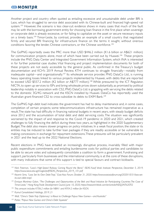Another project and country often quoted as entailing excessive and unsustainable debt under BRI is Laos, which has struggled to service debt associated with its Chinese-built and financed high-speed rail system.<sup>103</sup> However, the scenario is less clear-cut: evidence shows in many cases that much of the fault may lie with the borrowing government entity for choosing loan finance in the first place when sovereign or corporate debt is already excessive, or for failing to capitalize on the asset or secure necessary inputs on a timely basis.<sup>104</sup> Timor-Leste, by contrast, provides an example of a small country that negotiated firmly and secured BRI financing for infrastructure finance on the terms it sought, without onerous conditions favoring the lender, Chinese contractors, or the Chinese workforce.<sup>105</sup>

The GoPNG reportedly owes the PRC more than USD \$446.2 million (K1.6 billion or A\$621 million) for communication projects alone, most of which have been carried out by Huawei.<sup>106</sup> These projects include the PNG Data Center and Integrated Government Information System, which INA is interested in for further potential case studies. Vital financing and project implementation documents for both of these projects are not easily accessible by the general public. As confirmed in the Treasury's budget documentation and KCH's 2019 Annual Review, KTH continues to struggle financially—notably from inadequate capital—and organizationally.<sup>107</sup> Its wholesale service provider, PNG DataCo Ltd., is running heavy operating losses linked to various projects implemented by Huawei, with debts that are reported to exceed USD \$557.2 million (K2 billion or A\$777 million).<sup>108</sup> While pressured by the ICT Regulator, NICTA, to open up services to ISPs and bring wholesale prices down substantially, as promised by political leadership notably in association with CS2, PNG DataCo Ltd. is grappling with servicing the debts related to the domestic 3G/4G network and the KSCN installed by Huawei. DataCo has reportedly used the Australian grant-financed CS2 to cross-subsidize its debts to EXIM Bank.<sup>109</sup>

The GoPNG high-debt load indicates the government has had to delay maintenance and, in some cases, completion of certain projects; some telecommunications infrastructure has remained inoperative as a result. The state has had difficulty in financing national budgets in recent years, with steady budget deficits since 2012 and the accumulation of total debt and debt servicing costs. The situation was significantly worsened by the impact of and response to the Covid-19 pandemic in 2020 and 2021, which created challenges to fully financing the deficit during these two years, as highlighted in the 2020 Supplementary Budget. The debt also means slower progress on policy initiatives. In a weak fiscal position, the state or its entities may be induced to take further loan packages if they are readily accessible or be vulnerable to making concessions in exchange for repayment extensions. These pressures will be particularly prevalent in 2021 and the lead up to the 2022 National Elections.

Recent elections in PNG have entailed an increasingly disruptive process, invariably filled with major public expenditure commitments and entailing burdensome costs for political parties and candidates to be able to secure votes and subsequently consolidate a coalition to form a government. Fundraising and support, particularly from businesses and the international community, is at the core of these disruptions, with many indications that some of this support is tied to special favours and contract kickbacks.

*<sup>103</sup> Nick Freeman, "Laos's High-Speed Railway Coming Round the Bend," ISEAS-Yusof Ishak Institute: Perspective, December 5, 2019, https://www.iseas.edu.sg/images/pdf/ISEAS\_Perspective\_2019\_101.pdf* 

*<sup>104</sup> Kearrin Sims, "Laos Set Its Own Debt Trap," East Asia Forum, October 31, 2020. https://www.eastasiaforum.org/2020/10/31/laos-setits-own-debt-trap/.* 

<sup>&</sup>lt;sup>105</sup> Enrique Martinez Galan, "The Challenges and Opportunities of the Belt and Road Initiative for Participating Countries: The Case of *Timor-Leste," Hong Kong Trade Development Council, June 10, 2020, https://research.hktdc.com/en/article/NDQ3NTk2OTI2* 

*<sup>106</sup> This amount includes K706.2 million for NBN1 and K954.2 million for KSCN.*

*<sup>107</sup> Kumul Consolidated Holdings, 2019, 21*

*<sup>108</sup> Wall, "China's 'Debt-Trap Diplomacy' is About to Challenge Papua New Guinea—and Australia"*

*<sup>109</sup> Potter, "Papua New Guinea and China's Debt Squeeze"*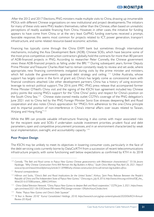After the 2012 and 2017 Elections, PNG ministers made multiple visits to China, drawing up innumerable MOUs with different Chinese organizations on new institutional and project developments. The initiators for many of these visits were PNG leaders themselves, rather than the Chinese, often based on unrealistic perceptions of readily available financing from China. However, in other cases, the initiative for funding appears to have come from China, or at the very least GoPNG funding overtures received a prompt, favorable response; this seems most common for projects related to ICT, power generation, transport infrastructure, and some related resource-based economic activities.

Financing has typically come through the China EXIM bank but sometimes through international mechanisms, including the Asia Development Bank (ADB). Chinese SOEs, which have become some of the most price-competitive construction contractors globally, hold the contracts for more than 80 percent of ADB-financed projects in PNG. According to researcher Peter Connelly, the Chinese government views these ADB-financed projects as falling under the BRI.110 During subsequent years, former Deputy Prime Minister and Treasurer Charles Abel had to remain constantly ready to review and set aside, where appropriate, new financing commitments instigated during visits by the prime minister and ministers, which fell outside the government's approved debt strategy and ceiling. <sup>111</sup> Unlike Australia, whose support has largely come in the form of grant aid, China's has largely come as concessional loans with financial conditions attached. Like other development partners, China has a history of using economic leverage to extract political support. The 2016 joint PRC–PNG press release that accompanied former Prime Minister O'Neill's China visit and the signing of the KSCN loan agreement included key Chinese policy points like voicing PNG's support for the "One China" policy and respect for China's position on the South China Sea.<sup>112</sup> Chinese state-owned media outlet CGTN's coverage of the PNG delegation's June 2021 visit to China led by the PNG Foreign Minister Soroi Eoe stresses deepening Belt and Road cooperation and also notes China's appreciation for "PNG's firm adherence to the one-China principle and its impartial position of non-interference in China's internal affairs over issues related to Taiwan, Xinjiang and Hong Kong."<sup>113</sup>

While the BRI can provide valuable infrastructure financing, it also comes with major associated risks for the recipient state and SOEs if undertaken outside investment priorities, prudent fiscal and debt parameters, open and competitive procurement processes, and in an environment characterized by weak local implementation, oversight, and accountability capacity.<sup>114</sup>

# **Poor Project Design**

The KSCN may be unlikely to meet its objectives in lowering consumer costs, particularly in the face of the debt servicing costs currently borne by DataCo/KTH from a succession of recent telecommunications infrastructure projects, with some functioning well below expectations as confirmed by KTH in its 2018

*<sup>110</sup> Connolly, "The Belt and Road comes to Papua New Guinea: Chinese geoeconomics with Melanesian characteristics?," 55-56; Jevans Nyabiage, "Why Chinese Construction Firms Will Remain the Big Builders in Africa," South China Morning Post, April 26, 2021. https:// www.scmp.com/news/china/diplomacy/article/3130988/why-chinese-construction-firms-will-remain-big-builders-africa.* 

*<sup>111</sup> Personal correspondence*

*<sup>112</sup> Hillman and Sacks, "China's Belt and Road: Implications for the United States"; Xinhua, "Joint Press Release Between the People's Republic of China and The Independent State of Papua New Guinea," China.org.cn., July 8, 2016, http://www.china.org.cn/china/Off\_the\_ Wire/2016-07/08/content\_38842349.htm.* 

*<sup>113</sup> China Global Television Network, "China, Papua New Guinea to deepen Belt and Road cooperation," CGTN, June 3, 2021, https://news. cgtn.com/news/2021-06-03/Chinese-FM-meets-PNG-foreign-minister-10NahnXwunC/index.html.* 

*<sup>114</sup> Potter, "Papua New Guinea and China's Debt Squeeze"* 

*<sup>115</sup> "A Year in Review: 2018," Kumul Consolidated Holdings, 2018, https://www.kch.com.pg/wp-content/uploads/2020/06/KCH-Annual-Review-2018.pdf.*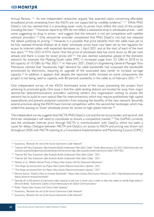Annual Review. <sup>115</sup> As one independent researcher argued, "the asserted claims concerning affordable broadband prices emanating from the KSCN are not supported by credible evidence." <sup>116</sup> While PNG DataCo Ltd. has claimed that it is providing lower costs, its prices must reflect the costs of the project, including the loan.<sup>117</sup> However, reports by ISPs do not reflect a substantial drop in wholesales prices—with some suggesting no drop in prices—and suggest that the network is not yet competitive with satellite network providers.118 One second-tier provider complained that PNG DataCo Ltd. had not released the details justifying its pricing.<sup>119</sup> However, it is possible that price benefits from the cable have yet to be fully realized: Amanda Watson et al. state "wholesale prices have now been set by the regulator for access to internet cables, with expected decreases on 1 April 2021 and at the start of each of the next two years."120 The CEO of KTH claims "that the price of wholesale data has come down by 80 per cent already and there is scope for lower prices still."<sup>121</sup> He also claimed substantial uptake of the domestic network; for example, the Madang-Guam cable (PPC-1) increased usage from 3.5 GB/s in 2018 to its full capacity of 10 GB/s by May 2021.<sup>122</sup> In February 2021, DataCo's Engineering General Manager Tony Morisause claimed that "excessively high" demand for cable bandwidth had surpassed the bandwidth provisioned by electronics, requiring an upgrade of the associated data center to increase carriage capacity.<sup>123</sup> In addition, it appears that despite the reported traffic increase on some components, the project is not being used to capacity, with 80 percent availability in the cable as of February 2021.<sup>124, 125</sup>

One independent survey of the KSCN illuminated some of the issues preventing the project from achieving its promised goals. One issue is that the cable landing stations are located far away from major second-tier telecommunications providers' switching centers. Any organization wishing to access the network has to build its own optical fiber for interconnection, which may require prohibitively high capital expenditures and prevent potential customers from enjoying the benefits of the new network. Secondly, several provinces along the KSCN have minimal competition within the second-tier landscape, which may undermine passing on lower wholesale prices for access to high-speed internet.<sup>126</sup>

The independent survey suggests that NICTA, PNG DataCo Ltd. and the service provider; and second- and third-tier wholesalers will need to coordinate to ensure a competitive market.<sup>127</sup> The GoPNG currently sets the wholesale internet price through NICTA in communication with DataCo, which has been a cause for delays. Dialogue between NICTA and DataCo on access to KSCN and pricing was drawn out throughout 2020, with NICTA claiming at a Consultative Implementation and Monitoring Council (CIMC)

*<sup>116</sup> Suwamaru, "Beneath the veil of the Kumul Submarine Cable Network"* 

*<sup>117</sup> "Internet Still 'Very Expensive' after Australia Builds Underwater Fibre Optic Cable," Pacific Beat, January 25, 2021, https://www.abc.net. au/radio-australia/programs/pacificbeat/png-internet-prices-high-after-australia-builds-submarine-cable/13091822.* 

*<sup>118</sup> "Internet Still 'Very Expensive' after Australia Builds Underwater Fibre Optic Cable," 2021* 

*<sup>119</sup> "Internet Still 'Very Expensive' after Australia Builds Underwater Fibre Optic Cable," 2021*

*<sup>120</sup> Watson et al., "Mobile Internet Prices in Papua New Guinea: Still No Downward Movement"* 

*<sup>121</sup> "Five things we learned from our Papua New Guinea Telecommunications Update," 2021* 

*<sup>122</sup> "Five things we learned from our Papua New Guinea Telecommunications Update," 2021* 

*<sup>123</sup> Maxine Kamus, "DataCo Plans to Increase Bandwidth," Papua New Guinea Post-Courier, February 5, 2021. https://postcourier.com.pg/ dataco-plans-to-increase-bandwith/* 

<sup>&</sup>lt;sup>124</sup> *Typically, 60 to 85 percent of submarine cable capacity is unlit (not in active use) in order to allow the cables to handle large spikes in demand. Brake, "Submarine Cables: Critical Infrastructure for Global Communications"* 

*<sup>125</sup> Potter, "Papua New Guinea and China's Debt Squeeze"*

*<sup>126</sup> Suwamaru, "Beneath the veil of the Kumul Submarine Cable Network"*

*<sup>127</sup> Suwamaru, "Beneath the veil of the Kumul Submarine Cable Network"*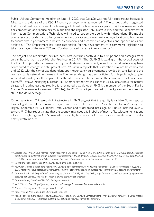Public Utilities Committee meeting on June 19, 2020, that DataCo was not fully cooperating because it failed to share details of the KSCN financing arrangements as required.<sup>128</sup> The survey author suggested that the national regulator explore licensing additional mobile network operator(s) to increase secondtier competition and reduce prices. In addition, the regulator, PNG DataCo Ltd., and the Department of Information Communications Technology will need to cooperate openly with independent ISPs, mobile phone service providers, and other government and private sector users—including education authorities to ensure that e-government, e-health, e-education, and e-commerce objectives and opportunities are achieved.<sup>129</sup> The Department has been responsible for the development of e-commerce legislation to take advantage of the new CS2 and Covid-associated increase in e-commerce.130

The project also reportedly incurred hefty cost overruns partly due to disruptions and damages from an earthquake that struck Morobe Province in 2019.<sup>131</sup> The GoPNG is waiting on the overall costs of the KSCN project after an assessment by the Australian government, as such natural disasters may have contributed to changes in total project costs.<sup>132</sup> DataCo reports that restoration may not be completed until 2022, with the city of Lae dependent upon redundancy arrangements provided by satellites and the overland cable network in the meantime. The project design has been criticized for allegedly neglecting to account adequately for the impact of earthquakes in a country sitting on the convergence of two major plates.133 DataCo Managing Director Paul Komboi stated that insurance is usually unavailable for natural disasters, including earthquakes. He further noted that although PNG is a member of the South Pacific Marine Maintenance Agreement (SPMMA), the KSCN is not yet covered by the Agreement because it is still in the delivery stage.<sup>134</sup>

Other reports on Chinese-built infrastructure in PNG suggest that the quality is variable. Some reports have alleged that all of Huawei's major projects in PNG have been "spectacular failures," citing the largely inoperable PNG National Data Center and widespread breakage of Huawei-installed 3G/4G towers.<sup>135</sup> Other reports state that the country may need a full rebuild of much of its telecommunications infrastructure, but given KTH's financial constraints, its capacity for further major expenditures is currently heavily restrained.<sup>136</sup>

*<sup>128</sup> Melisha Yafoi, "NICTA Says Internet Pricing Reduction is Expected," Papua New Guinea Post-Courier, June 10, 2020. https://postcourier. com.pg/nicta-says-internet-pricing-reduction-is-expected/?fbclid=IwAR0vdfeA3-ZctDq66BEff9kjxbf3XKVXgTc82eWtZoaigyL2gGjXUt Vtg0E; Watson, Airi, and Sakai, "Mobile internet prices in Papua New Guinea: still no downward movement"*

*<sup>129</sup> Suwamaru, "Beneath the veil of the Kumul Submarine Cable Network"* 

<sup>&</sup>lt;sup>130</sup> Paul Chai, "Setting the standard: Papua New Guinea's new 'ecommerce bill' heading to Parliament," Business Advantage PNG, June 24, *2020, https://www.businessadvantagepng.com/setting-the-standard-papua-new-guineas-new-ecommerce-bill-heading-to-parliament/*

*<sup>131</sup> Dateline Pacific, "Viability of PNG Cable Project Uncertain," RNZ, May 28, 2020, https://www.rnz.co.nz/international/programmes/ datelinepacific/audio/2018748241/viability-of-png-cable-project-uncertain* 

*<sup>132</sup> Dateline Pacific, "Viability of PNG Cable Project Uncertain"* 

*<sup>133</sup> Wall, "China's 'Debt-Trap Diplomacy' is About to Challenge Papua New Guinea—and Australia"*

*<sup>134</sup> "DataCo Working on Cable Outage, Says Komboi,"* 

*<sup>135</sup> Potter, "Papua New Guinea and China's Debt Squeeze"* 

*<sup>136</sup> Robert Potter and John Young, "Should Australia Buy Papua New Guinea's Largest Telecom Firm?" Diplomat, January 12, 2021, https:// thediplomat.com/2021/01/should-australia-buy-papua-new-guineas-largest-telecom-firm/*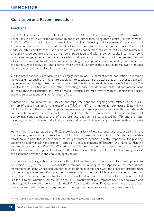# **Conclusion and Recommendations**

# **Conclusion**

The KSCN is implemented by PNG DataCo Ltd., an SOE with loan financing by the PRC through the EXIM Bank. If debt is absorbed or shared by the state rather than being borne entirely by the company, PNG DataCo Ltd. would stand to benefit from this loan financing and investment if the standard of the new infrastructure is sound and would not incur undue maintenance and repair costs. 5,457 km of undersea cable, apart from the land cable network, is a considerable infrastructure to lay and maintain in a relatively large country, with a relatively small population, and with a low per capita income to spend on internet usage, especially in the remote island and coastal communities. It could be deemed national infrastructure useable by all—including all competing service providers and ultimately consumers—in the same way as roads, port, and airstrips which are built largely at the state's expense, even with cost recovery mechanisms in place for some of them.

On the other hand, it is a service which is largely used by only 12 percent of the population, so it can be viewed as unreasonable for the entire population to subsidize infrastructure that only benefits a typically higher-income minority, unlike roads which are used directly or indirectly by everyone. Subsidizing KCH/ DataCo for its infrastructure when other competing service providers have obtained commercial loans to install their infrastructure and remain viable through cost recovery from their clients/service users could raise accusations of an unfair playing field.

Whether KTH could conceivably service and repay the debt and ongoing costs related to the KSCN, on top of debts incurred for the rest of the 7,500 km NTN, is a matter for conjecture. Determining KTH's viability and the associated implications, management, and options for servicing this debt depends substantially on what the actual costs of the NTN are. This in turn requires full public disclosure of borrowings, contract details, level of exposure, and debt service costs faced by KTH and the state, including maintenance costs and additional costs and responsibilities notably associated with earthquake repairs.

As with the first case study, the PMIZ, there is also a lack of transparency and accountability in the management, reporting and use of up to K1 billion in loans for the KSCN.<sup>137</sup> Despite considerable effort on our part, the senior officers of key government agencies directly responsible for planning, supervising and managing the project—especially the Departments of Treasury and National Planning and Implementation and PNG DataCo Ltd.—have failed to meet with or provide the researchers with vital information on the project, making it difficult to obtain details of public or SOE borrowing beyond the estimates provided in the annual budget volumes.

The procurement of goods and services for the KSCN may have been done in compliance with provisions of Section 7 (4) of the 2018 National Procurement Act, relating to the Application to International Agreements on loans where procurement must be done in compliance with the financiers' procurement policies and guidelines—in this case, the PRC—resulting in the use of Chinese companies as the main project contractors and sub-contractors. However, without access to the details of such procurement, it is difficult to say whether Chinese, let alone PNG, procurement requirements have been followed and what negotiations were undertaken with the EXIM bank to determine PNG content in the procurement, insurance and quality/standards requirements, oversight, and maintenance costs and responsibility.

*<sup>116</sup> Wall, "China's 'Debt-Trap Diplomacy' is About to Challenge Papua New Guinea—and Australia"*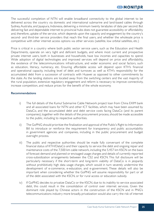The successful completion of NTN will enable broadband connectivity to the global internet to be delivered across the country via domestic and international submarine and land-based cables through Sydney, Australia, and Jayapura, Indonesia, delivering a minimum twenty terabytes of data per second. But delivering fast and dependable internet to provincial hubs does not guarantee accessibility or affordability and, therefore, uptake of the service, which depends upon the capacity and engagement by the country's second- and third-tier service providers that reach the final users, and whether the wholesale price is competitive with other internet access options via other services (satellite, low orbital satellites, etc.)

Price is critical in a country where both public sector service users, such as the Education and Health Departments, operate on very tight and deficient budgets, and where most current and prospective private internet users, both in businesses and households, have low incomes and capacities to spend. Wide adoption of digital technologies and improved services will depend on price and affordability, the existence of the telecommunications infrastructure, and wider economic and social factors, such as education, literacy, numeracy, etc. Ensuring affordable access will depend upon KTH's financial and operational capacity, including level of debt and turnover, as well as KTH's responsibility for the accumulated debt from a succession of contracts with Huawei as opposed to other commitments by the state. As the landing stations are located away from the switching centers and the vast majority of the rural population, extensive regulatory engagement and reform is necessary to improve connectivity, increase competition, and reduce prices for the benefit of the whole economy.

#### **Recommendations**

- i) The full details of the Kumul Submarine Cable Network project loan from China EXIM bank and all associated loans for NTN and other ICT facilities, which may have been assumed by DataCo, and the accumulated debt and debt service costs facing DataCo (and its parent companies), together with the details of the procurement process, should be made accessible to the public, including to respective authorities.
- ii) The GoPNG should prioritize the finalization and approval of the Public's Right to Information Bill to introduce or reinforce the requirement for transparency and public accountability in government agencies and companies, including in the public procurement and budget oversight process.
- iii) The public and respective authorities should be made fully conversant of the complete financial status of KTH/DataCo and their capacity to service the debt and ongoing repair and maintenance costs of the 7,500 km cable network, including the 5,457 km KSCN on the basis of forecast demand and planned or envisaged usage charges and details of currently reported cross-subsidization arrangements between the CS2 and KSCN. This full disclosure will be particularly necessary if the short-term and long-term viability of DataCo is in jeopardy without prohibitively high data usage charges, which would in turn severely undermine the development of e-commerce, e-education, and e-government. These details will also be important when considering whether the GoPNG will assume responsibility for part or all of the debt associated with the KSCN, or for rural access or education subsidy.
- iv) If GoPNG decides to privatize DataCo or the KSCN, due to its inability to service associated debt, this could result in the consolidation of control over internet services. Given the dominant role played by Chinese actors in the construction of the KSCN and in PNG's telecommunications industry more broadly, privatization would also carry the risk of internet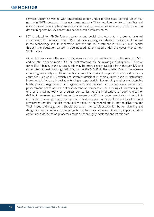services becoming vested with enterprises under undue foreign state control which may not be in PNG's best security or economic interests. This should be monitored carefully and efforts should be made to ensure diversified and price-effective service provisions, even by determining that KSCN constitutes national cable infrastructure.

- v) ICT is critical for PNG's future economic and social development. In order to take full advantage of ICT infrastructure, PNG must have a strong and talented workforce fully versed in the technology and its application into the future. Investment in PNG's human capital through the education system is also needed, as envisaged under the government's new STEM policy.
- vi) Other lessons include the need to rigorously assess the ramifications on the recipient SOE and country prior to major SOE or public/commercial borrowing, including from China or other EXIM banks. In the future, funds may be more readily available both through BRI and other international financing platforms, such as the G7's Build Back Better World. The increase in funding availability due to geopolitical competition provides opportunities for developing countries such as PNG, which are severely deficient in their current basic infrastructure. However, this increase in available funding also poses risks if borrowing reaches unsustainable levels, project negotiations and agreements are deficient or inadequately understood, procurement processes are not transparent or competitive, or a string of contracts go to one or a small network of overseas companies. As the implications of poor choices or deficient processes go well beyond the respective SOE or government department, it is critical there is an open process that not only allows awareness and feedback by all relevant government entities, but also wider stakeholders in the general public and the private sector. Their input and suggestions should be taken into consideration for better planning and design for future infrastructure projects. Furthermore, different financing, implementation options and deliberation processes must be thoroughly explored and considered.